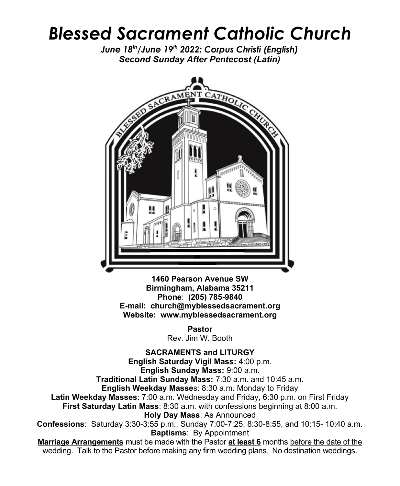## *Blessed Sacrament Catholic Church*

*June 18th/June 19th 2022: Corpus Christi (English) Second Sunday After Pentecost (Latin)*



**1460 Pearson Avenue SW Birmingham, Alabama 35211 Phone**: **(205) 785-9840 E-mail: church@myblessedsacrament.org Website: www.myblessedsacrament.org**

> **Pastor** Rev. Jim W. Booth

**SACRAMENTS and LITURGY English Saturday Vigil Mass:** 4:00 p.m. **English Sunday Mass:** 9:00 a.m. **Traditional Latin Sunday Mass:** 7:30 a.m. and 10:45 a.m. **English Weekday Masse**s: 8:30 a.m. Monday to Friday **Latin Weekday Masses**: 7:00 a.m. Wednesday and Friday, 6:30 p.m. on First Friday **First Saturday Latin Mass**: 8:30 a.m. with confessions beginning at 8:00 a.m. **Holy Day Mass**: As Announced **Confessions**: Saturday 3:30-3:55 p.m., Sunday 7:00-7:25, 8:30-8:55, and 10:15- 10:40 a.m. **Baptisms**: By Appointment **Marriage Arrangements** must be made with the Pastor **at least 6** months before the date of the wedding. Talk to the Pastor before making any firm wedding plans. No destination weddings.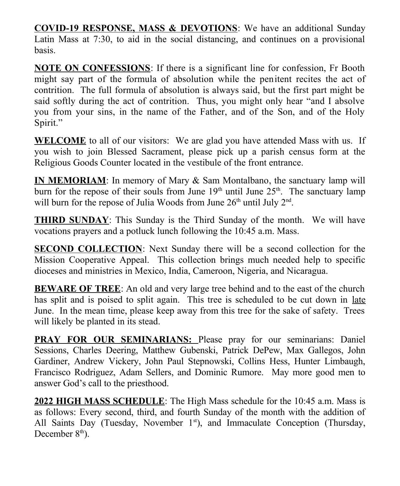**COVID-19 RESPONSE, MASS & DEVOTIONS**: We have an additional Sunday Latin Mass at 7:30, to aid in the social distancing, and continues on a provisional basis.

**NOTE ON CONFESSIONS**: If there is a significant line for confession, Fr Booth might say part of the formula of absolution while the penitent recites the act of contrition. The full formula of absolution is always said, but the first part might be said softly during the act of contrition. Thus, you might only hear "and I absolve you from your sins, in the name of the Father, and of the Son, and of the Holy Spirit."

**WELCOME** to all of our visitors: We are glad you have attended Mass with us. If you wish to join Blessed Sacrament, please pick up a parish census form at the Religious Goods Counter located in the vestibule of the front entrance.

**IN MEMORIAM:** In memory of Mary & Sam Montalbano, the sanctuary lamp will burn for the repose of their souls from June  $19<sup>th</sup>$  until June  $25<sup>th</sup>$ . The sanctuary lamp will burn for the repose of Julia Woods from June  $26<sup>th</sup>$  until July  $2<sup>nd</sup>$ .

**THIRD SUNDAY**: This Sunday is the Third Sunday of the month. We will have vocations prayers and a potluck lunch following the 10:45 a.m. Mass.

**SECOND COLLECTION**: Next Sunday there will be a second collection for the Mission Cooperative Appeal. This collection brings much needed help to specific dioceses and ministries in Mexico, India, Cameroon, Nigeria, and Nicaragua.

**BEWARE OF TREE**: An old and very large tree behind and to the east of the church has split and is poised to split again. This tree is scheduled to be cut down in late June. In the mean time, please keep away from this tree for the sake of safety. Trees will likely be planted in its stead.

**PRAY FOR OUR SEMINARIANS:** Please pray for our seminarians: Daniel Sessions, Charles Deering, Matthew Gubenski, Patrick DePew, Max Gallegos, John Gardiner, Andrew Vickery, John Paul Stepnowski, Collins Hess, Hunter Limbaugh, Francisco Rodriguez, Adam Sellers, and Dominic Rumore. May more good men to answer God's call to the priesthood.

**2022 HIGH MASS SCHEDULE**: The High Mass schedule for the 10:45 a.m. Mass is as follows: Every second, third, and fourth Sunday of the month with the addition of All Saints Day (Tuesday, November  $1<sup>st</sup>$ ), and Immaculate Conception (Thursday, December  $8<sup>th</sup>$ ).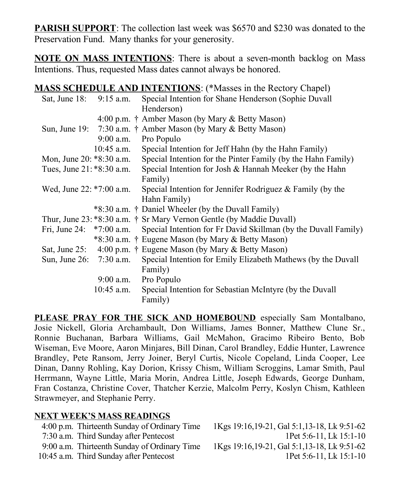**PARISH SUPPORT**: The collection last week was \$6570 and \$230 was donated to the Preservation Fund. Many thanks for your generosity.

**NOTE ON MASS INTENTIONS**: There is about a seven-month backlog on Mass Intentions. Thus, requested Mass dates cannot always be honored.

**MASS SCHEDULE AND INTENTIONS**: (\*Masses in the Rectory Chapel)

| Sat, June 18:              | $9:15$ a.m.  | Special Intention for Shane Henderson (Sophie Duvall                     |
|----------------------------|--------------|--------------------------------------------------------------------------|
|                            |              | Henderson)                                                               |
|                            |              | 4:00 p.m. † Amber Mason (by Mary & Betty Mason)                          |
|                            |              | Sun, June 19: $7:30$ a.m. † Amber Mason (by Mary & Betty Mason)          |
|                            | $9:00$ a.m.  | Pro Populo                                                               |
|                            | 10:45 a.m.   | Special Intention for Jeff Hahn (by the Hahn Family)                     |
| Mon, June 20: *8:30 a.m.   |              | Special Intention for the Pinter Family (by the Hahn Family)             |
| Tues, June 21: *8:30 a.m.  |              | Special Intention for Josh & Hannah Meeker (by the Hahn                  |
|                            |              | Family)                                                                  |
| Wed, June 22: *7:00 a.m.   |              | Special Intention for Jennifer Rodriguez $\&$ Family (by the             |
|                            |              | Hahn Family)                                                             |
|                            |              | *8:30 a.m. † Daniel Wheeler (by the Duvall Family)                       |
|                            |              | Thur, June 23: *8:30 a.m. † Sr Mary Vernon Gentle (by Maddie Duvall)     |
| Fri, June 24: $*7:00$ a.m. |              | Special Intention for Fr David Skillman (by the Duvall Family)           |
|                            |              | *8:30 a.m. † Eugene Mason (by Mary & Betty Mason)                        |
|                            |              | Sat, June 25: $4:00 \text{ p.m.}$ † Eugene Mason (by Mary & Betty Mason) |
| Sun, June 26: 7:30 a.m.    |              | Special Intention for Emily Elizabeth Mathews (by the Duvall             |
|                            |              | Family)                                                                  |
|                            | 9:00 a.m.    | Pro Populo                                                               |
|                            | $10:45$ a.m. | Special Intention for Sebastian McIntyre (by the Duvall                  |
|                            |              | Family)                                                                  |

**PLEASE PRAY FOR THE SICK AND HOMEBOUND** especially Sam Montalbano, Josie Nickell, Gloria Archambault, Don Williams, James Bonner, Matthew Clune Sr., Ronnie Buchanan, Barbara Williams, Gail McMahon, Gracimo Ribeiro Bento, Bob Wiseman, Eve Moore, Aaron Minjares, Bill Dinan, Carol Brandley, Eddie Hunter, Lawrence Brandley, Pete Ransom, Jerry Joiner, Beryl Curtis, Nicole Copeland, Linda Cooper, Lee Dinan, Danny Rohling, Kay Dorion, Krissy Chism, William Scroggins, Lamar Smith, Paul Herrmann, Wayne Little, Maria Morin, Andrea Little, Joseph Edwards, George Dunham, Fran Costanza, Christine Cover, Thatcher Kerzie, Malcolm Perry, Koslyn Chism, Kathleen Strawmeyer, and Stephanie Perry.

## **NEXT WEEK'S MASS READINGS**

| 4:00 p.m. Thirteenth Sunday of Ordinary Time | 1Kgs 19:16, 19-21, Gal 5:1, 13-18, Lk 9:51-62 |
|----------------------------------------------|-----------------------------------------------|
| 7:30 a.m. Third Sunday after Pentecost       | 1Pet 5:6-11, Lk 15:1-10                       |
| 9:00 a.m. Thirteenth Sunday of Ordinary Time | 1Kgs 19:16, 19-21, Gal 5:1, 13-18, Lk 9:51-62 |
| 10:45 a.m. Third Sunday after Pentecost      | 1Pet 5:6-11, Lk 15:1-10                       |